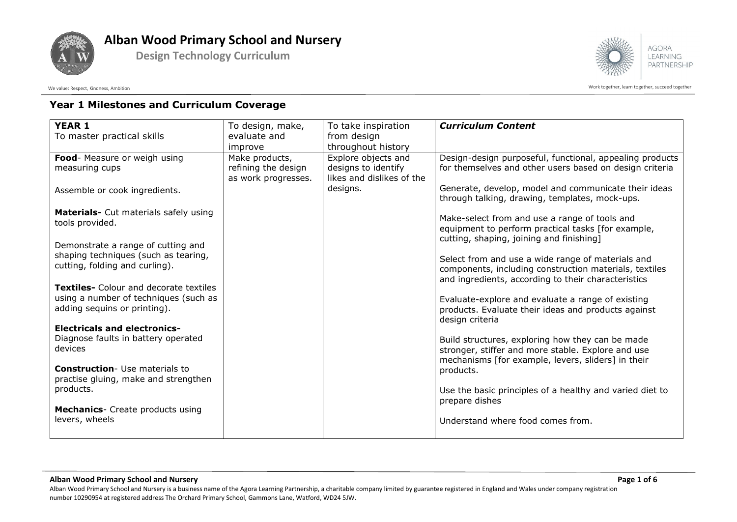

**Design Technology Curriculum**



**AGORA LEARNING** PARTNERSHIP

Work together, learn together, learn together, succeed together

#### **Year 1 Milestones and Curriculum Coverage**

| <b>YEAR 1</b>                                                         | To design, make,    | To take inspiration       | <b>Curriculum Content</b>                                                                              |
|-----------------------------------------------------------------------|---------------------|---------------------------|--------------------------------------------------------------------------------------------------------|
| To master practical skills                                            | evaluate and        | from design               |                                                                                                        |
|                                                                       | improve             | throughout history        |                                                                                                        |
| Food- Measure or weigh using                                          | Make products,      | Explore objects and       | Design-design purposeful, functional, appealing products                                               |
| measuring cups                                                        | refining the design | designs to identify       | for themselves and other users based on design criteria                                                |
|                                                                       | as work progresses. | likes and dislikes of the |                                                                                                        |
| Assemble or cook ingredients.                                         |                     | designs.                  | Generate, develop, model and communicate their ideas<br>through talking, drawing, templates, mock-ups. |
| Materials- Cut materials safely using                                 |                     |                           |                                                                                                        |
| tools provided.                                                       |                     |                           | Make-select from and use a range of tools and                                                          |
|                                                                       |                     |                           | equipment to perform practical tasks [for example,<br>cutting, shaping, joining and finishing]         |
| Demonstrate a range of cutting and                                    |                     |                           |                                                                                                        |
| shaping techniques (such as tearing,                                  |                     |                           | Select from and use a wide range of materials and                                                      |
| cutting, folding and curling).                                        |                     |                           | components, including construction materials, textiles                                                 |
|                                                                       |                     |                           | and ingredients, according to their characteristics                                                    |
| <b>Textiles-</b> Colour and decorate textiles                         |                     |                           |                                                                                                        |
| using a number of techniques (such as<br>adding sequins or printing). |                     |                           | Evaluate-explore and evaluate a range of existing                                                      |
|                                                                       |                     |                           | products. Evaluate their ideas and products against<br>design criteria                                 |
| <b>Electricals and electronics-</b>                                   |                     |                           |                                                                                                        |
| Diagnose faults in battery operated                                   |                     |                           | Build structures, exploring how they can be made                                                       |
| devices                                                               |                     |                           | stronger, stiffer and more stable. Explore and use                                                     |
|                                                                       |                     |                           | mechanisms [for example, levers, sliders] in their                                                     |
| <b>Construction-</b> Use materials to                                 |                     |                           | products.                                                                                              |
| practise gluing, make and strengthen                                  |                     |                           |                                                                                                        |
| products.                                                             |                     |                           | Use the basic principles of a healthy and varied diet to                                               |
| <b>Mechanics</b> - Create products using                              |                     |                           | prepare dishes                                                                                         |
| levers, wheels                                                        |                     |                           | Understand where food comes from.                                                                      |
|                                                                       |                     |                           |                                                                                                        |
|                                                                       |                     |                           |                                                                                                        |

#### **Alban Wood Primary School and Nursery Page 1 of 6**

Alban Wood Primary School and Nursery is a business name of the Agora Learning Partnership, a charitable company limited by guarantee registered in England and Wales under company registration number 10290954 at registered address The Orchard Primary School, Gammons Lane, Watford, WD24 5JW.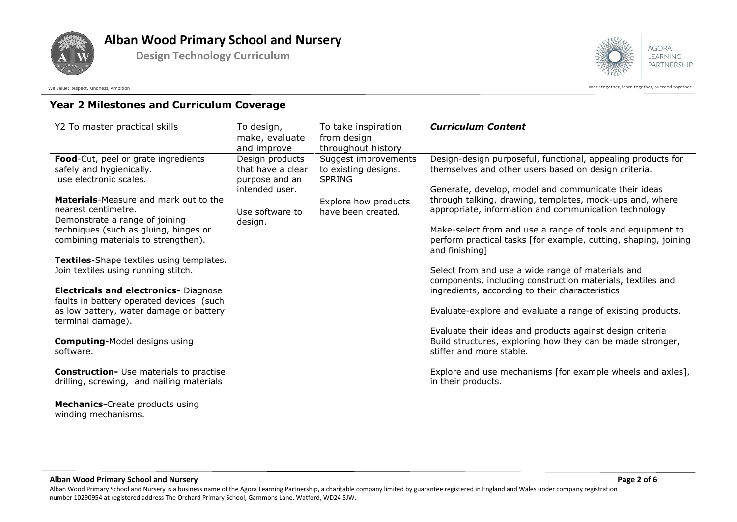

**Design Technology Curriculum**



**AGORA LEARNING** PARTNERSHIP

Work together, learn together, learn together, succeed together

### **Year 2 Milestones and Curriculum Coverage**

| Y2 To master practical skills                      | To design,                       | To take inspiration  | <b>Curriculum Content</b>                                                                                               |
|----------------------------------------------------|----------------------------------|----------------------|-------------------------------------------------------------------------------------------------------------------------|
|                                                    | make, evaluate                   | from design          |                                                                                                                         |
|                                                    | and improve                      | throughout history   |                                                                                                                         |
| Food-Cut, peel or grate ingredients                | Design products                  | Suggest improvements | Design-design purposeful, functional, appealing products for                                                            |
| safely and hygienically.<br>use electronic scales. | that have a clear                | to existing designs. | themselves and other users based on design criteria.                                                                    |
|                                                    | purpose and an<br>intended user. | <b>SPRING</b>        | Generate, develop, model and communicate their ideas                                                                    |
| <b>Materials-Measure and mark out to the</b>       |                                  |                      | through talking, drawing, templates, mock-ups and, where                                                                |
| nearest centimetre.                                |                                  | Explore how products | appropriate, information and communication technology                                                                   |
| Demonstrate a range of joining                     | Use software to<br>design.       | have been created.   |                                                                                                                         |
| techniques (such as gluing, hinges or              |                                  |                      | Make-select from and use a range of tools and equipment to                                                              |
| combining materials to strengthen).                |                                  |                      | perform practical tasks [for example, cutting, shaping, joining                                                         |
|                                                    |                                  |                      | and finishing]                                                                                                          |
| Textiles-Shape textiles using templates.           |                                  |                      |                                                                                                                         |
| Join textiles using running stitch.                |                                  |                      | Select from and use a wide range of materials and                                                                       |
|                                                    |                                  |                      | components, including construction materials, textiles and                                                              |
| <b>Electricals and electronics- Diagnose</b>       |                                  |                      | ingredients, according to their characteristics                                                                         |
| faults in battery operated devices (such           |                                  |                      |                                                                                                                         |
| as low battery, water damage or battery            |                                  |                      | Evaluate-explore and evaluate a range of existing products.                                                             |
| terminal damage).                                  |                                  |                      |                                                                                                                         |
| <b>Computing-Model designs using</b>               |                                  |                      | Evaluate their ideas and products against design criteria<br>Build structures, exploring how they can be made stronger, |
| software.                                          |                                  |                      | stiffer and more stable.                                                                                                |
|                                                    |                                  |                      |                                                                                                                         |
| <b>Construction-</b> Use materials to practise     |                                  |                      | Explore and use mechanisms [for example wheels and axles],                                                              |
| drilling, screwing, and nailing materials          |                                  |                      | in their products.                                                                                                      |
|                                                    |                                  |                      |                                                                                                                         |
| <b>Mechanics-</b> Create products using            |                                  |                      |                                                                                                                         |
| winding mechanisms.                                |                                  |                      |                                                                                                                         |

**Alban Wood Primary School and Nursery Page 2 of 6**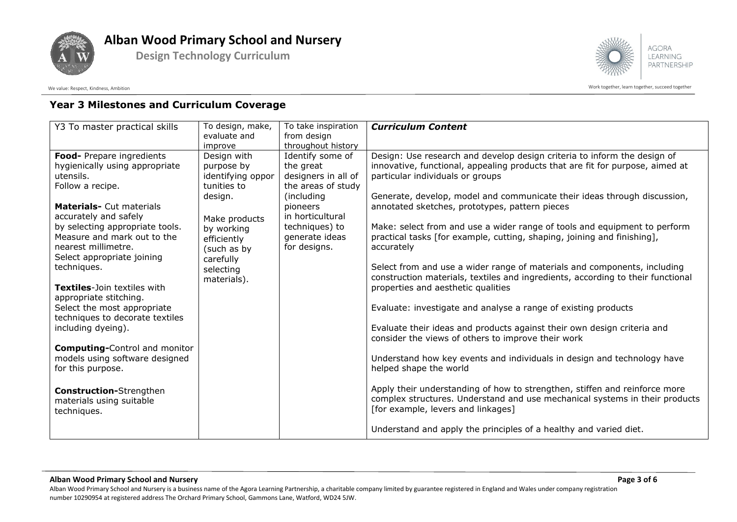

**Design Technology Curriculum**



Work together, learn together, learn together, succeed together

### **Year 3 Milestones and Curriculum Coverage**

| Y3 To master practical skills                                                                                                                                                                                                                                                                                                                                                                                                                                                                                                                         | To design, make,<br>evaluate and                                                                                                                                               | To take inspiration                                                                                                                                                                         | <b>Curriculum Content</b>                                                                                                                                                                                                                                                                                                                                                                                                                                                                                                                                                                                                                                                                                                                                                                                                                                                                                                                                                                                      |
|-------------------------------------------------------------------------------------------------------------------------------------------------------------------------------------------------------------------------------------------------------------------------------------------------------------------------------------------------------------------------------------------------------------------------------------------------------------------------------------------------------------------------------------------------------|--------------------------------------------------------------------------------------------------------------------------------------------------------------------------------|---------------------------------------------------------------------------------------------------------------------------------------------------------------------------------------------|----------------------------------------------------------------------------------------------------------------------------------------------------------------------------------------------------------------------------------------------------------------------------------------------------------------------------------------------------------------------------------------------------------------------------------------------------------------------------------------------------------------------------------------------------------------------------------------------------------------------------------------------------------------------------------------------------------------------------------------------------------------------------------------------------------------------------------------------------------------------------------------------------------------------------------------------------------------------------------------------------------------|
|                                                                                                                                                                                                                                                                                                                                                                                                                                                                                                                                                       | improve                                                                                                                                                                        | throughout history                                                                                                                                                                          |                                                                                                                                                                                                                                                                                                                                                                                                                                                                                                                                                                                                                                                                                                                                                                                                                                                                                                                                                                                                                |
| Food- Prepare ingredients<br>hygienically using appropriate<br>utensils.<br>Follow a recipe.<br><b>Materials- Cut materials</b><br>accurately and safely<br>by selecting appropriate tools.<br>Measure and mark out to the<br>nearest millimetre.<br>Select appropriate joining<br>techniques.<br><b>Textiles-Join textiles with</b><br>appropriate stitching.<br>Select the most appropriate<br>techniques to decorate textiles<br>including dyeing).<br><b>Computing-Control and monitor</b><br>models using software designed<br>for this purpose. | Design with<br>purpose by<br>identifying oppor<br>tunities to<br>design.<br>Make products<br>by working<br>efficiently<br>(such as by<br>carefully<br>selecting<br>materials). | from design<br>Identify some of<br>the great<br>designers in all of<br>the areas of study<br>(including<br>pioneers<br>in horticultural<br>techniques) to<br>generate ideas<br>for designs. | Design: Use research and develop design criteria to inform the design of<br>innovative, functional, appealing products that are fit for purpose, aimed at<br>particular individuals or groups<br>Generate, develop, model and communicate their ideas through discussion,<br>annotated sketches, prototypes, pattern pieces<br>Make: select from and use a wider range of tools and equipment to perform<br>practical tasks [for example, cutting, shaping, joining and finishing],<br>accurately<br>Select from and use a wider range of materials and components, including<br>construction materials, textiles and ingredients, according to their functional<br>properties and aesthetic qualities<br>Evaluate: investigate and analyse a range of existing products<br>Evaluate their ideas and products against their own design criteria and<br>consider the views of others to improve their work<br>Understand how key events and individuals in design and technology have<br>helped shape the world |
| <b>Construction-</b> Strengthen<br>materials using suitable<br>techniques.                                                                                                                                                                                                                                                                                                                                                                                                                                                                            |                                                                                                                                                                                |                                                                                                                                                                                             | Apply their understanding of how to strengthen, stiffen and reinforce more<br>complex structures. Understand and use mechanical systems in their products<br>[for example, levers and linkages]                                                                                                                                                                                                                                                                                                                                                                                                                                                                                                                                                                                                                                                                                                                                                                                                                |
|                                                                                                                                                                                                                                                                                                                                                                                                                                                                                                                                                       |                                                                                                                                                                                |                                                                                                                                                                                             | Understand and apply the principles of a healthy and varied diet.                                                                                                                                                                                                                                                                                                                                                                                                                                                                                                                                                                                                                                                                                                                                                                                                                                                                                                                                              |

**Alban Wood Primary School and Nursery Page 3 of 6**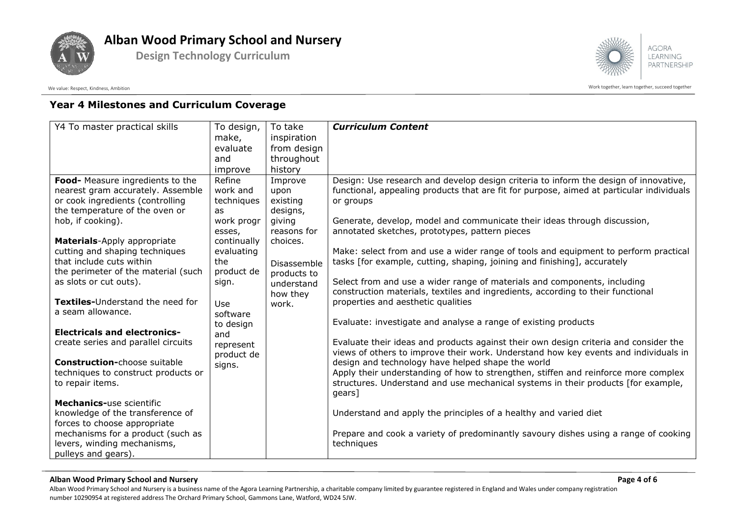

**Design Technology Curriculum**





Work together, learn together, learn together, succeed together

### **Year 4 Milestones and Curriculum Coverage**

| Y4 To master practical skills           | To design,       | To take     | <b>Curriculum Content</b>                                                                                                                                   |
|-----------------------------------------|------------------|-------------|-------------------------------------------------------------------------------------------------------------------------------------------------------------|
|                                         | make,            | inspiration |                                                                                                                                                             |
|                                         | evaluate         | from design |                                                                                                                                                             |
|                                         | and              | throughout  |                                                                                                                                                             |
|                                         | improve          | history     |                                                                                                                                                             |
| Food- Measure ingredients to the        | Refine           | Improve     | Design: Use research and develop design criteria to inform the design of innovative,                                                                        |
| nearest gram accurately. Assemble       | work and         | upon        | functional, appealing products that are fit for purpose, aimed at particular individuals                                                                    |
| or cook ingredients (controlling        | techniques       | existing    | or groups                                                                                                                                                   |
| the temperature of the oven or          | as               | designs,    |                                                                                                                                                             |
| hob, if cooking).                       | work progr       | giving      | Generate, develop, model and communicate their ideas through discussion,                                                                                    |
|                                         | esses,           | reasons for | annotated sketches, prototypes, pattern pieces                                                                                                              |
| <b>Materials-Apply appropriate</b>      | continually      | choices.    |                                                                                                                                                             |
| cutting and shaping techniques          | evaluating       |             | Make: select from and use a wider range of tools and equipment to perform practical                                                                         |
| that include cuts within                | the              | Disassemble | tasks [for example, cutting, shaping, joining and finishing], accurately                                                                                    |
| the perimeter of the material (such     | product de       | products to |                                                                                                                                                             |
| as slots or cut outs).                  | sign.            | understand  | Select from and use a wider range of materials and components, including<br>construction materials, textiles and ingredients, according to their functional |
| <b>Textiles-Understand the need for</b> |                  | how they    | properties and aesthetic qualities                                                                                                                          |
| a seam allowance.                       | Use              | work.       |                                                                                                                                                             |
|                                         | software         |             | Evaluate: investigate and analyse a range of existing products                                                                                              |
| <b>Electricals and electronics-</b>     | to design<br>and |             |                                                                                                                                                             |
| create series and parallel circuits     | represent        |             | Evaluate their ideas and products against their own design criteria and consider the                                                                        |
|                                         | product de       |             | views of others to improve their work. Understand how key events and individuals in                                                                         |
| <b>Construction-choose suitable</b>     | signs.           |             | design and technology have helped shape the world                                                                                                           |
| techniques to construct products or     |                  |             | Apply their understanding of how to strengthen, stiffen and reinforce more complex                                                                          |
| to repair items.                        |                  |             | structures. Understand and use mechanical systems in their products [for example,                                                                           |
|                                         |                  |             | gears]                                                                                                                                                      |
| <b>Mechanics-use scientific</b>         |                  |             |                                                                                                                                                             |
| knowledge of the transference of        |                  |             | Understand and apply the principles of a healthy and varied diet                                                                                            |
| forces to choose appropriate            |                  |             |                                                                                                                                                             |
| mechanisms for a product (such as       |                  |             | Prepare and cook a variety of predominantly savoury dishes using a range of cooking                                                                         |
| levers, winding mechanisms,             |                  |             | techniques                                                                                                                                                  |
| pulleys and gears).                     |                  |             |                                                                                                                                                             |

#### **Alban Wood Primary School and Nursery Page 4 of 6**

Alban Wood Primary School and Nursery is a business name of the Agora Learning Partnership, a charitable company limited by guarantee registered in England and Wales under company registration number 10290954 at registered address The Orchard Primary School, Gammons Lane, Watford, WD24 5JW.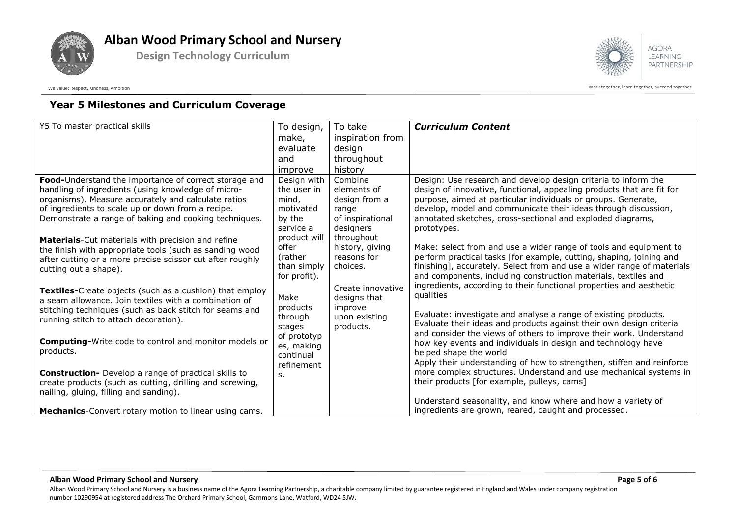

**Design Technology Curriculum**



**AGORA LEARNING** PARTNERSHIP

Work together, learn together, learn together, succeed together

### **Year 5 Milestones and Curriculum Coverage**

| Y5 To master practical skills                                                                                                                                                                                                                                                                                                                                                                                                                                                          | To design,                                                                                                                                                                                                                                   | To take                                                                                                                                                                                                                     | <b>Curriculum Content</b>                                                                                                                                                                                                                                                                                                                                                                                                                                                                                                                                                                                                                                                                                                                                                                                                                                                                                                                           |
|----------------------------------------------------------------------------------------------------------------------------------------------------------------------------------------------------------------------------------------------------------------------------------------------------------------------------------------------------------------------------------------------------------------------------------------------------------------------------------------|----------------------------------------------------------------------------------------------------------------------------------------------------------------------------------------------------------------------------------------------|-----------------------------------------------------------------------------------------------------------------------------------------------------------------------------------------------------------------------------|-----------------------------------------------------------------------------------------------------------------------------------------------------------------------------------------------------------------------------------------------------------------------------------------------------------------------------------------------------------------------------------------------------------------------------------------------------------------------------------------------------------------------------------------------------------------------------------------------------------------------------------------------------------------------------------------------------------------------------------------------------------------------------------------------------------------------------------------------------------------------------------------------------------------------------------------------------|
|                                                                                                                                                                                                                                                                                                                                                                                                                                                                                        | make,                                                                                                                                                                                                                                        | inspiration from                                                                                                                                                                                                            |                                                                                                                                                                                                                                                                                                                                                                                                                                                                                                                                                                                                                                                                                                                                                                                                                                                                                                                                                     |
|                                                                                                                                                                                                                                                                                                                                                                                                                                                                                        | evaluate                                                                                                                                                                                                                                     | design                                                                                                                                                                                                                      |                                                                                                                                                                                                                                                                                                                                                                                                                                                                                                                                                                                                                                                                                                                                                                                                                                                                                                                                                     |
|                                                                                                                                                                                                                                                                                                                                                                                                                                                                                        | and                                                                                                                                                                                                                                          | throughout                                                                                                                                                                                                                  |                                                                                                                                                                                                                                                                                                                                                                                                                                                                                                                                                                                                                                                                                                                                                                                                                                                                                                                                                     |
|                                                                                                                                                                                                                                                                                                                                                                                                                                                                                        | improve                                                                                                                                                                                                                                      | history                                                                                                                                                                                                                     |                                                                                                                                                                                                                                                                                                                                                                                                                                                                                                                                                                                                                                                                                                                                                                                                                                                                                                                                                     |
| Food-Understand the importance of correct storage and<br>handling of ingredients (using knowledge of micro-<br>organisms). Measure accurately and calculate ratios<br>of ingredients to scale up or down from a recipe.<br>Demonstrate a range of baking and cooking techniques.<br>Materials-Cut materials with precision and refine<br>the finish with appropriate tools (such as sanding wood<br>after cutting or a more precise scissor cut after roughly<br>cutting out a shape). | Design with<br>the user in<br>mind,<br>motivated<br>by the<br>service a<br>product will<br>offer<br>(rather)<br>than simply<br>for profit).<br>Make<br>products<br>through<br>stages<br>of prototyp<br>es, making<br>continual<br>refinement | Combine<br>elements of<br>design from a<br>range<br>of inspirational<br>designers<br>throughout<br>history, giving<br>reasons for<br>choices.<br>Create innovative<br>designs that<br>improve<br>upon existing<br>products. | Design: Use research and develop design criteria to inform the<br>design of innovative, functional, appealing products that are fit for<br>purpose, aimed at particular individuals or groups. Generate,<br>develop, model and communicate their ideas through discussion,<br>annotated sketches, cross-sectional and exploded diagrams,<br>prototypes.<br>Make: select from and use a wider range of tools and equipment to<br>perform practical tasks [for example, cutting, shaping, joining and<br>finishing], accurately. Select from and use a wider range of materials<br>and components, including construction materials, textiles and<br>ingredients, according to their functional properties and aesthetic<br>qualities<br>Evaluate: investigate and analyse a range of existing products.<br>Evaluate their ideas and products against their own design criteria<br>and consider the views of others to improve their work. Understand |
| Textiles-Create objects (such as a cushion) that employ<br>a seam allowance. Join textiles with a combination of<br>stitching techniques (such as back stitch for seams and<br>running stitch to attach decoration).                                                                                                                                                                                                                                                                   |                                                                                                                                                                                                                                              |                                                                                                                                                                                                                             |                                                                                                                                                                                                                                                                                                                                                                                                                                                                                                                                                                                                                                                                                                                                                                                                                                                                                                                                                     |
| <b>Computing-</b> Write code to control and monitor models or<br>products.                                                                                                                                                                                                                                                                                                                                                                                                             |                                                                                                                                                                                                                                              |                                                                                                                                                                                                                             |                                                                                                                                                                                                                                                                                                                                                                                                                                                                                                                                                                                                                                                                                                                                                                                                                                                                                                                                                     |
| <b>Construction-</b> Develop a range of practical skills to<br>create products (such as cutting, drilling and screwing,<br>nailing, gluing, filling and sanding).                                                                                                                                                                                                                                                                                                                      | s.                                                                                                                                                                                                                                           |                                                                                                                                                                                                                             | more complex structures. Understand and use mechanical systems in<br>their products [for example, pulleys, cams]<br>Understand seasonality, and know where and how a variety of                                                                                                                                                                                                                                                                                                                                                                                                                                                                                                                                                                                                                                                                                                                                                                     |
| Mechanics-Convert rotary motion to linear using cams.                                                                                                                                                                                                                                                                                                                                                                                                                                  |                                                                                                                                                                                                                                              |                                                                                                                                                                                                                             | ingredients are grown, reared, caught and processed.                                                                                                                                                                                                                                                                                                                                                                                                                                                                                                                                                                                                                                                                                                                                                                                                                                                                                                |